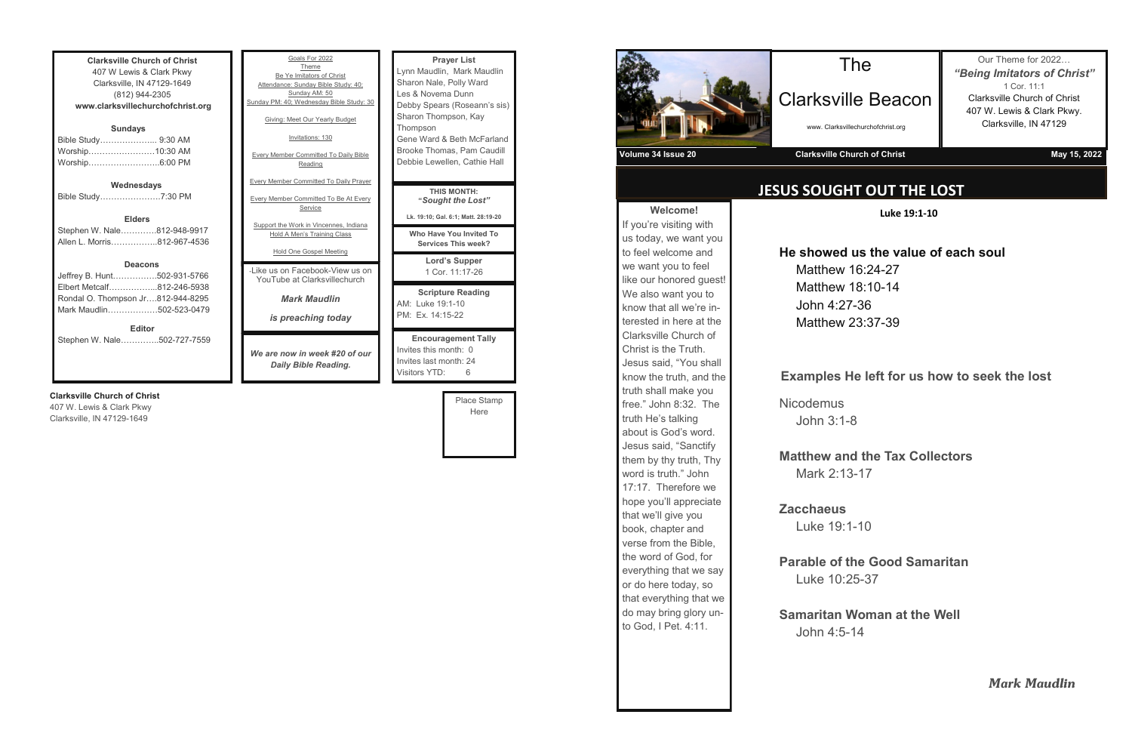**Clarksville Church of Christ** 407 W Lewis & Clark Pkwy Clarksville, IN 47129-1649 (812) 944-2305 **www.clarksvillechurchofchrist.org Sundays** Bible Study………………... 9:30 AM Worship……………………10:30 AM Worship……………………..6:00 PM **Wednesdays** Bible Study………………….7:30 PM **Elders** Stephen W. Nale………….812-948-9917 Allen L. Morris……………..812-967-4536

### **Deacons**

| <b>Editor</b>                     |  |
|-----------------------------------|--|
| Mark Maudlin502-523-0479          |  |
| Rondal O. Thompson Jr812-944-8295 |  |
| Elbert Metcalf812-246-5938        |  |
| Jeffrey B. Hunt502-931-5766       |  |

Stephen W. Nale…………..502-727-7559

### **Clarksville Church of Christ**

407 W. Lewis & Clark Pkwy Clarksville, IN 47129-1649

| Goals For 2022<br>Theme<br>Be Ye Imitators of Christ<br>Attendance: Sunday Bible Study: 40;<br>Sunday AM: 50<br>Sunday PM: 40; Wednesday Bible Study: 30<br>Giving: Meet Our Yearly Budget<br>Invitations: 130<br><b>Every Member Committed To Daily Bible</b><br>Reading | <b>Prayer List</b><br>Lynn Maudlin, Mark Maudlin<br>Sharon Nale, Polly Ward<br>Les & Novema Dunn<br>Debby Spears (Roseann's sis)<br>Sharon Thompson, Kay<br>Thompson<br>Gene Ward & Beth McFarland<br>Brooke Thomas, Pam Caudill<br>Debbie Lewellen, Cathie Hall |
|---------------------------------------------------------------------------------------------------------------------------------------------------------------------------------------------------------------------------------------------------------------------------|------------------------------------------------------------------------------------------------------------------------------------------------------------------------------------------------------------------------------------------------------------------|
| <b>Every Member Committed To Daily Prayer</b><br><b>Every Member Committed To Be At Every</b><br>Service                                                                                                                                                                  | <b>THIS MONTH:</b><br>"Sought the Lost"<br>Lk. 19:10; Gal. 6:1; Matt. 28:19-20                                                                                                                                                                                   |
| Support the Work in Vincennes, Indiana<br>Hold A Men's Training Class<br>Hold One Gospel Meeting                                                                                                                                                                          | Who Have You Invited To<br><b>Services This week?</b>                                                                                                                                                                                                            |
| - like us on Facebook-View us on<br>YouTube at Clarksvillechurch                                                                                                                                                                                                          | <b>Lord's Supper</b><br>1 Cor. 11:17-26                                                                                                                                                                                                                          |
| <b>Mark Maudlin</b><br><i>is preaching today</i>                                                                                                                                                                                                                          | <b>Scripture Reading</b><br>AM: Luke 19:1-10<br>PM: Ex. 14:15-22                                                                                                                                                                                                 |
| We are now in week #20 of our<br>Daily Bible Reading.                                                                                                                                                                                                                     | <b>Encouragement Tally</b><br>Invites this month: 0<br>Invites last month: 24<br>Visitors YTD:<br>6                                                                                                                                                              |

**Nicodemus** John 3:1-8

Place Stamp Here

**Welcome!** If you're visiting with us today, we want you to feel welcome and we want you to feel like our honored guest! We also want you to know that all we're interested in here at the Clarksville Church of Christ is the Truth. Jesus said, "You shall know the truth, and the truth shall make you free." John 8:32. The truth He's talking about is God's word. Jesus said, "Sanctify them by thy truth, Thy word is truth." John 17:17. Therefore we hope you'll appreciate that we'll give you book, chapter and verse from the Bible, the word of God, for everything that we say or do here today, so that everything that we do may bring glory unto God, I Pet. 4:11.

## **JESUS SOUGHT OUT THE LOST**

## The

Clarksville Beacon

www. Clarksvillechurchofchrist.org

Our Theme for 2022… *"Being Imitators of Christ"* 1 Cor. 11:1 Clarksville Church of Christ 407 W. Lewis & Clark Pkwy. Clarksville, IN 47129



**Luke 19:1-10**

### **He showed us the value of each soul**

Matthew 16:24-27 Matthew 18:10-14 John 4:27-36 Matthew 23:37-39

### **Examples He left for us how to seek the lost**

### **Matthew and the Tax Collectors** Mark 2:13-17

**Zacchaeus** Luke 19:1-10

### **Parable of the Good Samaritan** Luke 10:25-37

**Samaritan Woman at the Well** John 4:5-14

*Mark Maudlin*